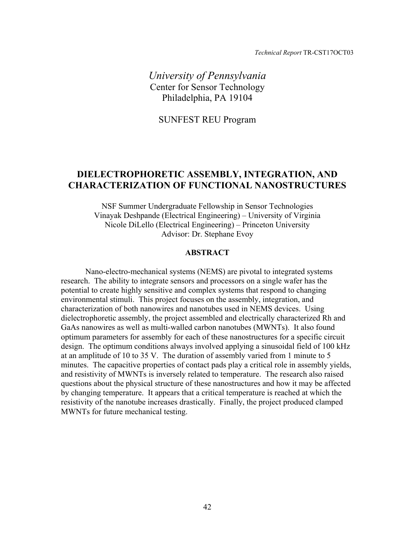*Technical Report* TR-CST17OCT03

*University of Pennsylvania*  Center for Sensor Technology Philadelphia, PA 19104

SUNFEST REU Program

# **DIELECTROPHORETIC ASSEMBLY, INTEGRATION, AND CHARACTERIZATION OF FUNCTIONAL NANOSTRUCTURES**

NSF Summer Undergraduate Fellowship in Sensor Technologies Vinayak Deshpande (Electrical Engineering) – University of Virginia Nicole DiLello (Electrical Engineering) – Princeton University Advisor: Dr. Stephane Evoy

# **ABSTRACT**

Nano-electro-mechanical systems (NEMS) are pivotal to integrated systems research. The ability to integrate sensors and processors on a single wafer has the potential to create highly sensitive and complex systems that respond to changing environmental stimuli. This project focuses on the assembly, integration, and characterization of both nanowires and nanotubes used in NEMS devices. Using dielectrophoretic assembly, the project assembled and electrically characterized Rh and GaAs nanowires as well as multi-walled carbon nanotubes (MWNTs). It also found optimum parameters for assembly for each of these nanostructures for a specific circuit design. The optimum conditions always involved applying a sinusoidal field of 100 kHz at an amplitude of 10 to 35 V. The duration of assembly varied from 1 minute to 5 minutes. The capacitive properties of contact pads play a critical role in assembly yields, and resistivity of MWNTs is inversely related to temperature. The research also raised questions about the physical structure of these nanostructures and how it may be affected by changing temperature. It appears that a critical temperature is reached at which the resistivity of the nanotube increases drastically. Finally, the project produced clamped MWNTs for future mechanical testing.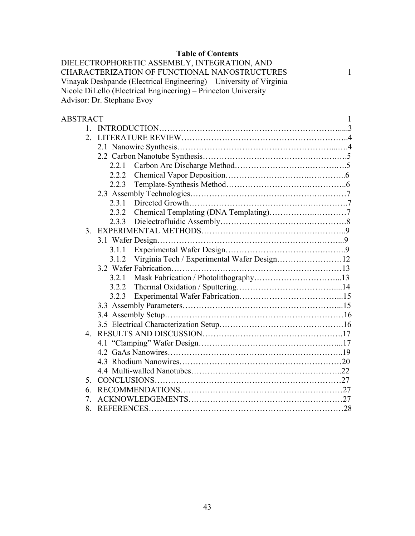# **Table of Contents**

DIELECTROPHORETIC ASSEMBLY, INTEGRATION, AND CHARACTERIZATION OF FUNCTIONAL NANOSTRUCTURES 1 Vinayak Deshpande (Electrical Engineering) – University of Virginia Nicole DiLello (Electrical Engineering) – Princeton University Advisor: Dr. Stephane Evoy

| <b>ABSTRACT</b> |       |                                             | 1 |  |  |
|-----------------|-------|---------------------------------------------|---|--|--|
|                 |       |                                             |   |  |  |
| $2_{-}$         |       |                                             |   |  |  |
|                 |       |                                             |   |  |  |
|                 |       |                                             |   |  |  |
|                 | 2.2.1 |                                             |   |  |  |
|                 | 2.2.2 |                                             |   |  |  |
|                 | 2.2.3 |                                             |   |  |  |
|                 |       |                                             |   |  |  |
|                 | 2.3.1 |                                             |   |  |  |
|                 | 2.3.2 |                                             |   |  |  |
|                 | 2.3.3 |                                             |   |  |  |
|                 |       |                                             |   |  |  |
|                 |       |                                             |   |  |  |
|                 | 3.1.1 |                                             |   |  |  |
|                 | 3.1.2 | Virginia Tech / Experimental Wafer Design12 |   |  |  |
|                 |       |                                             |   |  |  |
|                 | 3.2.1 |                                             |   |  |  |
|                 | 3.2.2 |                                             |   |  |  |
|                 | 3.2.3 |                                             |   |  |  |
|                 |       |                                             |   |  |  |
|                 |       |                                             |   |  |  |
|                 |       |                                             |   |  |  |
|                 |       |                                             |   |  |  |
|                 |       |                                             |   |  |  |
|                 |       |                                             |   |  |  |
|                 |       |                                             |   |  |  |
|                 |       |                                             |   |  |  |
| 5.              |       |                                             |   |  |  |
| 6.              |       |                                             |   |  |  |
| 7               |       |                                             |   |  |  |
| 8.              |       |                                             |   |  |  |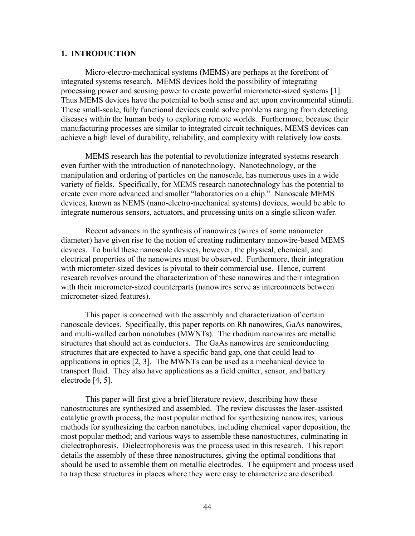# **1. INTRODUCTION**

Micro-electro-mechanical systems (MEMS) are perhaps at the forefront of integrated systems research. MEMS devices hold the possibility of integrating processing power and sensing power to create powerful micrometer-sized systems [1]. Thus MEMS devices have the potential to both sense and act upon environmental stimuli. These small-scale, fully functional devices could solve problems ranging from detecting diseases within the human body to exploring remote worlds. Furthermore, because their manufacturing processes are similar to integrated circuit techniques, MEMS devices can achieve a high level of durability, reliability, and complexity with relatively low costs.

MEMS research has the potential to revolutionize integrated systems research even further with the introduction of nanotechnology. Nanotechnology, or the manipulation and ordering of particles on the nanoscale, has numerous uses in a wide variety of fields. Specifically, for MEMS research nanotechnology has the potential to create even more advanced and smaller "laboratories on a chip." Nanoscale MEMS devices, known as NEMS (nano-electro-mechanical systems) devices, would be able to integrate numerous sensors, actuators, and processing units on a single silicon wafer.

Recent advances in the synthesis of nanowires (wires of some nanometer diameter) have given rise to the notion of creating rudimentary nanowire-based MEMS devices. To build these nanoscale devices, however, the physical, chemical, and electrical properties of the nanowires must be observed. Furthermore, their integration with micrometer-sized devices is pivotal to their commercial use. Hence, current research revolves around the characterization of these nanowires and their integration with their micrometer-sized counterparts (nanowires serve as interconnects between micrometer-sized features).

This paper is concerned with the assembly and characterization of certain nanoscale devices. Specifically, this paper reports on Rh nanowires, GaAs nanowires, and multi-walled carbon nanotubes (MWNTs). The rhodium nanowires are metallic structures that should act as conductors. The GaAs nanowires are semiconducting structures that are expected to have a specific band gap, one that could lead to applications in optics [2, 3]. The MWNTs can be used as a mechanical device to transport fluid. They also have applications as a field emitter, sensor, and battery electrode [4, 5].

This paper will first give a brief literature review, describing how these nanostructures are synthesized and assembled. The review discusses the laser-assisted catalytic growth process, the most popular method for synthesizing nanowires; various methods for synthesizing the carbon nanotubes, including chemical vapor deposition, the most popular method; and various ways to assemble these nanostuctures, culminating in dielectrophoresis. Dielectrophoresis was the process used in this research. This report details the assembly of these three nanostructures, giving the optimal conditions that should be used to assemble them on metallic electrodes. The equipment and process used to trap these structures in places where they were easy to characterize are described.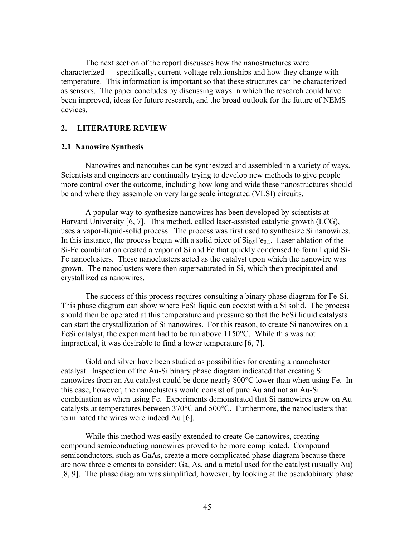The next section of the report discusses how the nanostructures were characterized — specifically, current-voltage relationships and how they change with temperature. This information is important so that these structures can be characterized as sensors. The paper concludes by discussing ways in which the research could have been improved, ideas for future research, and the broad outlook for the future of NEMS devices.

# **2. LITERATURE REVIEW**

# **2.1 Nanowire Synthesis**

Nanowires and nanotubes can be synthesized and assembled in a variety of ways. Scientists and engineers are continually trying to develop new methods to give people more control over the outcome, including how long and wide these nanostructures should be and where they assemble on very large scale integrated (VLSI) circuits.

A popular way to synthesize nanowires has been developed by scientists at Harvard University [6, 7]. This method, called laser-assisted catalytic growth (LCG), uses a vapor-liquid-solid process. The process was first used to synthesize Si nanowires. In this instance, the process began with a solid piece of  $Si<sub>0.9</sub>Fe<sub>0.1</sub>$ . Laser ablation of the Si-Fe combination created a vapor of Si and Fe that quickly condensed to form liquid Si-Fe nanoclusters. These nanoclusters acted as the catalyst upon which the nanowire was grown. The nanoclusters were then supersaturated in Si, which then precipitated and crystallized as nanowires.

The success of this process requires consulting a binary phase diagram for Fe-Si. This phase diagram can show where FeSi liquid can coexist with a Si solid. The process should then be operated at this temperature and pressure so that the FeSi liquid catalysts can start the crystallization of Si nanowires. For this reason, to create Si nanowires on a FeSi catalyst, the experiment had to be run above 1150°C. While this was not impractical, it was desirable to find a lower temperature [6, 7].

Gold and silver have been studied as possibilities for creating a nanocluster catalyst. Inspection of the Au-Si binary phase diagram indicated that creating Si nanowires from an Au catalyst could be done nearly 800°C lower than when using Fe. In this case, however, the nanoclusters would consist of pure Au and not an Au-Si combination as when using Fe. Experiments demonstrated that Si nanowires grew on Au catalysts at temperatures between 370°C and 500°C. Furthermore, the nanoclusters that terminated the wires were indeed Au [6].

While this method was easily extended to create Ge nanowires, creating compound semiconducting nanowires proved to be more complicated. Compound semiconductors, such as GaAs, create a more complicated phase diagram because there are now three elements to consider: Ga, As, and a metal used for the catalyst (usually Au) [8, 9]. The phase diagram was simplified, however, by looking at the pseudobinary phase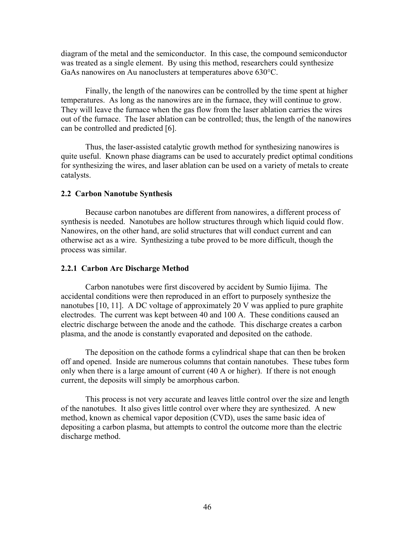diagram of the metal and the semiconductor. In this case, the compound semiconductor was treated as a single element. By using this method, researchers could synthesize GaAs nanowires on Au nanoclusters at temperatures above 630°C.

Finally, the length of the nanowires can be controlled by the time spent at higher temperatures. As long as the nanowires are in the furnace, they will continue to grow. They will leave the furnace when the gas flow from the laser ablation carries the wires out of the furnace. The laser ablation can be controlled; thus, the length of the nanowires can be controlled and predicted [6].

Thus, the laser-assisted catalytic growth method for synthesizing nanowires is quite useful. Known phase diagrams can be used to accurately predict optimal conditions for synthesizing the wires, and laser ablation can be used on a variety of metals to create catalysts.

### **2.2 Carbon Nanotube Synthesis**

Because carbon nanotubes are different from nanowires, a different process of synthesis is needed. Nanotubes are hollow structures through which liquid could flow. Nanowires, on the other hand, are solid structures that will conduct current and can otherwise act as a wire. Synthesizing a tube proved to be more difficult, though the process was similar.

### **2.2.1 Carbon Arc Discharge Method**

Carbon nanotubes were first discovered by accident by Sumio Iijima. The accidental conditions were then reproduced in an effort to purposely synthesize the nanotubes [10, 11]. A DC voltage of approximately 20 V was applied to pure graphite electrodes. The current was kept between 40 and 100 A. These conditions caused an electric discharge between the anode and the cathode. This discharge creates a carbon plasma, and the anode is constantly evaporated and deposited on the cathode.

The deposition on the cathode forms a cylindrical shape that can then be broken off and opened. Inside are numerous columns that contain nanotubes. These tubes form only when there is a large amount of current (40 A or higher). If there is not enough current, the deposits will simply be amorphous carbon.

This process is not very accurate and leaves little control over the size and length of the nanotubes. It also gives little control over where they are synthesized. A new method, known as chemical vapor deposition (CVD), uses the same basic idea of depositing a carbon plasma, but attempts to control the outcome more than the electric discharge method.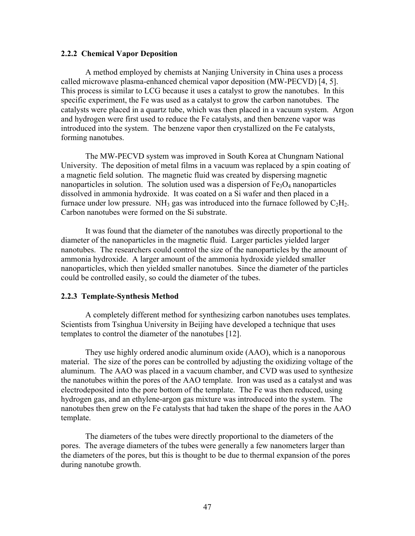### **2.2.2 Chemical Vapor Deposition**

A method employed by chemists at Nanjing University in China uses a process called microwave plasma-enhanced chemical vapor deposition (MW-PECVD) [4, 5]. This process is similar to LCG because it uses a catalyst to grow the nanotubes. In this specific experiment, the Fe was used as a catalyst to grow the carbon nanotubes. The catalysts were placed in a quartz tube, which was then placed in a vacuum system. Argon and hydrogen were first used to reduce the Fe catalysts, and then benzene vapor was introduced into the system. The benzene vapor then crystallized on the Fe catalysts, forming nanotubes.

The MW-PECVD system was improved in South Korea at Chungnam National University. The deposition of metal films in a vacuum was replaced by a spin coating of a magnetic field solution. The magnetic fluid was created by dispersing magnetic nanoparticles in solution. The solution used was a dispersion of  $Fe<sub>3</sub>O<sub>4</sub>$  nanoparticles dissolved in ammonia hydroxide. It was coated on a Si wafer and then placed in a furnace under low pressure. NH<sub>3</sub> gas was introduced into the furnace followed by  $C_2H_2$ . Carbon nanotubes were formed on the Si substrate.

It was found that the diameter of the nanotubes was directly proportional to the diameter of the nanoparticles in the magnetic fluid. Larger particles yielded larger nanotubes. The researchers could control the size of the nanoparticles by the amount of ammonia hydroxide. A larger amount of the ammonia hydroxide yielded smaller nanoparticles, which then yielded smaller nanotubes. Since the diameter of the particles could be controlled easily, so could the diameter of the tubes.

# **2.2.3 Template-Synthesis Method**

A completely different method for synthesizing carbon nanotubes uses templates. Scientists from Tsinghua University in Beijing have developed a technique that uses templates to control the diameter of the nanotubes [12].

They use highly ordered anodic aluminum oxide (AAO), which is a nanoporous material. The size of the pores can be controlled by adjusting the oxidizing voltage of the aluminum. The AAO was placed in a vacuum chamber, and CVD was used to synthesize the nanotubes within the pores of the AAO template. Iron was used as a catalyst and was electrodeposited into the pore bottom of the template. The Fe was then reduced, using hydrogen gas, and an ethylene-argon gas mixture was introduced into the system. The nanotubes then grew on the Fe catalysts that had taken the shape of the pores in the AAO template.

The diameters of the tubes were directly proportional to the diameters of the pores. The average diameters of the tubes were generally a few nanometers larger than the diameters of the pores, but this is thought to be due to thermal expansion of the pores during nanotube growth.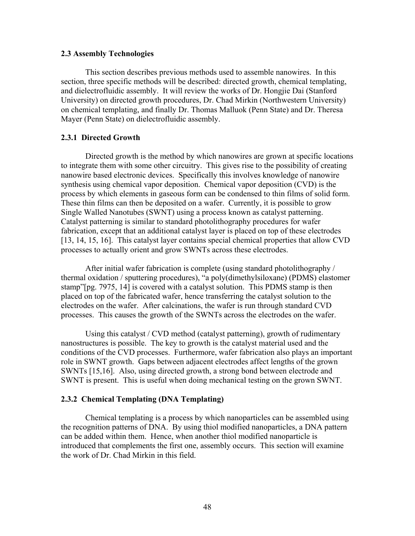# **2.3 Assembly Technologies**

This section describes previous methods used to assemble nanowires. In this section, three specific methods will be described: directed growth, chemical templating, and dielectrofluidic assembly. It will review the works of Dr. Hongjie Dai (Stanford University) on directed growth procedures, Dr. Chad Mirkin (Northwestern University) on chemical templating, and finally Dr. Thomas Malluok (Penn State) and Dr. Theresa Mayer (Penn State) on dielectrofluidic assembly.

# **2.3.1 Directed Growth**

Directed growth is the method by which nanowires are grown at specific locations to integrate them with some other circuitry. This gives rise to the possibility of creating nanowire based electronic devices. Specifically this involves knowledge of nanowire synthesis using chemical vapor deposition. Chemical vapor deposition (CVD) is the process by which elements in gaseous form can be condensed to thin films of solid form. These thin films can then be deposited on a wafer. Currently, it is possible to grow Single Walled Nanotubes (SWNT) using a process known as catalyst patterning. Catalyst patterning is similar to standard photolithography procedures for wafer fabrication, except that an additional catalyst layer is placed on top of these electrodes [13, 14, 15, 16]. This catalyst layer contains special chemical properties that allow CVD processes to actually orient and grow SWNTs across these electrodes.

After initial wafer fabrication is complete (using standard photolithography / thermal oxidation / sputtering procedures), "a poly(dimethylsiloxane) (PDMS) elastomer stamp"[pg. 7975, 14] is covered with a catalyst solution. This PDMS stamp is then placed on top of the fabricated wafer, hence transferring the catalyst solution to the electrodes on the wafer. After calcinations, the wafer is run through standard CVD processes. This causes the growth of the SWNTs across the electrodes on the wafer.

Using this catalyst / CVD method (catalyst patterning), growth of rudimentary nanostructures is possible. The key to growth is the catalyst material used and the conditions of the CVD processes. Furthermore, wafer fabrication also plays an important role in SWNT growth. Gaps between adjacent electrodes affect lengths of the grown SWNTs [15,16]. Also, using directed growth, a strong bond between electrode and SWNT is present. This is useful when doing mechanical testing on the grown SWNT.

# **2.3.2 Chemical Templating (DNA Templating)**

Chemical templating is a process by which nanoparticles can be assembled using the recognition patterns of DNA. By using thiol modified nanoparticles, a DNA pattern can be added within them. Hence, when another thiol modified nanoparticle is introduced that complements the first one, assembly occurs. This section will examine the work of Dr. Chad Mirkin in this field.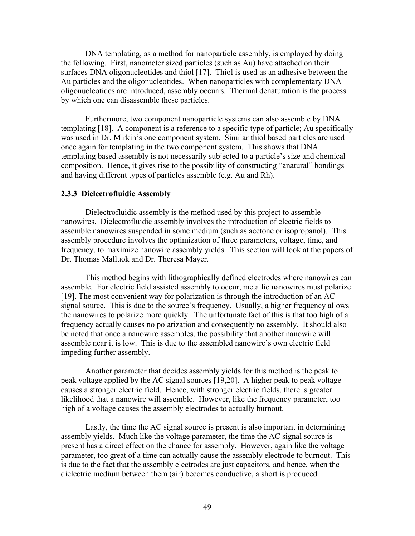DNA templating, as a method for nanoparticle assembly, is employed by doing the following. First, nanometer sized particles (such as Au) have attached on their surfaces DNA oligonucleotides and thiol [17]. Thiol is used as an adhesive between the Au particles and the oligonucleotides. When nanoparticles with complementary DNA oligonucleotides are introduced, assembly occurrs. Thermal denaturation is the process by which one can disassemble these particles.

Furthermore, two component nanoparticle systems can also assemble by DNA templating [18]. A component is a reference to a specific type of particle; Au specifically was used in Dr. Mirkin's one component system. Similar thiol based particles are used once again for templating in the two component system. This shows that DNA templating based assembly is not necessarily subjected to a particle's size and chemical composition. Hence, it gives rise to the possibility of constructing "anatural" bondings and having different types of particles assemble (e.g. Au and Rh).

# **2.3.3 Dielectrofluidic Assembly**

Dielectrofluidic assembly is the method used by this project to assemble nanowires. Dielectrofluidic assembly involves the introduction of electric fields to assemble nanowires suspended in some medium (such as acetone or isopropanol). This assembly procedure involves the optimization of three parameters, voltage, time, and frequency, to maximize nanowire assembly yields. This section will look at the papers of Dr. Thomas Malluok and Dr. Theresa Mayer.

This method begins with lithographically defined electrodes where nanowires can assemble. For electric field assisted assembly to occur, metallic nanowires must polarize [19]. The most convenient way for polarization is through the introduction of an AC signal source. This is due to the source's frequency. Usually, a higher frequency allows the nanowires to polarize more quickly. The unfortunate fact of this is that too high of a frequency actually causes no polarization and consequently no assembly. It should also be noted that once a nanowire assembles, the possibility that another nanowire will assemble near it is low. This is due to the assembled nanowire's own electric field impeding further assembly.

Another parameter that decides assembly yields for this method is the peak to peak voltage applied by the AC signal sources [19,20]. A higher peak to peak voltage causes a stronger electric field. Hence, with stronger electric fields, there is greater likelihood that a nanowire will assemble. However, like the frequency parameter, too high of a voltage causes the assembly electrodes to actually burnout.

Lastly, the time the AC signal source is present is also important in determining assembly yields. Much like the voltage parameter, the time the AC signal source is present has a direct effect on the chance for assembly. However, again like the voltage parameter, too great of a time can actually cause the assembly electrode to burnout. This is due to the fact that the assembly electrodes are just capacitors, and hence, when the dielectric medium between them (air) becomes conductive, a short is produced.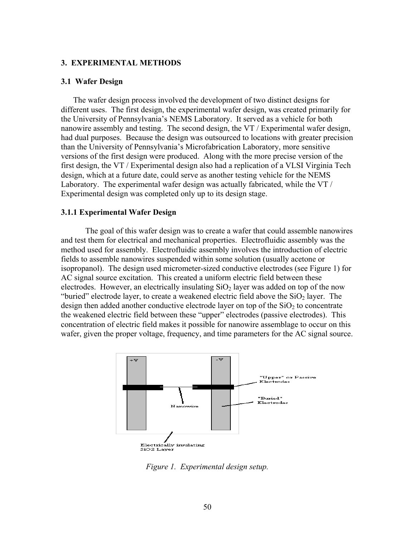### **3. EXPERIMENTAL METHODS**

# **3.1 Wafer Design**

The wafer design process involved the development of two distinct designs for different uses. The first design, the experimental wafer design, was created primarily for the University of Pennsylvania's NEMS Laboratory. It served as a vehicle for both nanowire assembly and testing. The second design, the VT / Experimental wafer design, had dual purposes. Because the design was outsourced to locations with greater precision than the University of Pennsylvania's Microfabrication Laboratory, more sensitive versions of the first design were produced. Along with the more precise version of the first design, the VT / Experimental design also had a replication of a VLSI Virginia Tech design, which at a future date, could serve as another testing vehicle for the NEMS Laboratory. The experimental wafer design was actually fabricated, while the VT / Experimental design was completed only up to its design stage.

### **3.1.1 Experimental Wafer Design**

The goal of this wafer design was to create a wafer that could assemble nanowires and test them for electrical and mechanical properties. Electrofluidic assembly was the method used for assembly. Electrofluidic assembly involves the introduction of electric fields to assemble nanowires suspended within some solution (usually acetone or isopropanol). The design used micrometer-sized conductive electrodes (see Figure 1) for AC signal source excitation. This created a uniform electric field between these electrodes. However, an electrically insulating  $SiO<sub>2</sub>$  layer was added on top of the now "buried" electrode layer, to create a weakened electric field above the  $SiO<sub>2</sub>$  layer. The design then added another conductive electrode layer on top of the  $SiO<sub>2</sub>$  to concentrate the weakened electric field between these "upper" electrodes (passive electrodes). This concentration of electric field makes it possible for nanowire assemblage to occur on this wafer, given the proper voltage, frequency, and time parameters for the AC signal source.



*Figure 1. Experimental design setup.*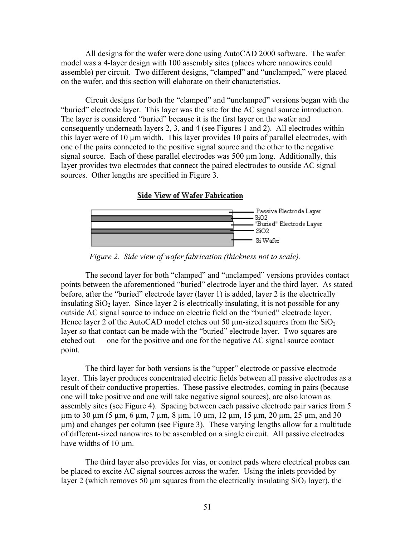All designs for the wafer were done using AutoCAD 2000 software. The wafer model was a 4-layer design with 100 assembly sites (places where nanowires could assemble) per circuit. Two different designs, "clamped" and "unclamped," were placed on the wafer, and this section will elaborate on their characteristics.

Circuit designs for both the "clamped" and "unclamped" versions began with the "buried" electrode layer. This layer was the site for the AC signal source introduction. The layer is considered "buried" because it is the first layer on the wafer and consequently underneath layers 2, 3, and 4 (see Figures 1 and 2). All electrodes within this layer were of 10 µm width. This layer provides 10 pairs of parallel electrodes, with one of the pairs connected to the positive signal source and the other to the negative signal source. Each of these parallel electrodes was 500  $\mu$ m long. Additionally, this layer provides two electrodes that connect the paired electrodes to outside AC signal sources. Other lengths are specified in Figure 3.

#### **Side View of Wafer Fabrication**



*Figure 2. Side view of wafer fabrication (thickness not to scale).* 

The second layer for both "clamped" and "unclamped" versions provides contact points between the aforementioned "buried" electrode layer and the third layer. As stated before, after the "buried" electrode layer (layer 1) is added, layer 2 is the electrically insulating  $SiO<sub>2</sub>$  layer. Since layer 2 is electrically insulating, it is not possible for any outside AC signal source to induce an electric field on the "buried" electrode layer. Hence layer 2 of the AutoCAD model etches out 50  $\mu$ m-sized squares from the SiO<sub>2</sub> layer so that contact can be made with the "buried" electrode layer. Two squares are etched out — one for the positive and one for the negative AC signal source contact point.

The third layer for both versions is the "upper" electrode or passive electrode layer. This layer produces concentrated electric fields between all passive electrodes as a result of their conductive properties. These passive electrodes, coming in pairs (because one will take positive and one will take negative signal sources), are also known as assembly sites (see Figure 4). Spacing between each passive electrode pair varies from 5 µm to 30 µm (5 µm, 6 µm, 7 µm, 8 µm, 10 µm, 12 µm, 15 µm, 20 µm, 25 µm, and 30 µm) and changes per column (see Figure 3). These varying lengths allow for a multitude of different-sized nanowires to be assembled on a single circuit. All passive electrodes have widths of 10  $\mu$ m.

The third layer also provides for vias, or contact pads where electrical probes can be placed to excite AC signal sources across the wafer. Using the inlets provided by layer 2 (which removes 50  $\mu$ m squares from the electrically insulating SiO<sub>2</sub> layer), the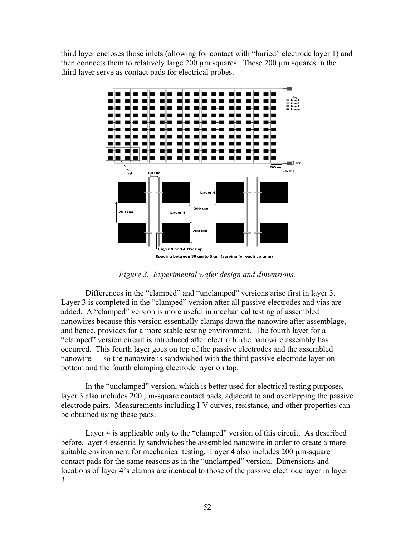third layer encloses those inlets (allowing for contact with "buried" electrode layer 1) and then connects them to relatively large 200 µm squares. These 200 µm squares in the third layer serve as contact pads for electrical probes.



Spacing between 30 um to 5 um (varying for each column)

*Figure 3. Experimental wafer design and dimensions.* 

Differences in the "clamped" and "unclamped" versions arise first in layer 3. Layer 3 is completed in the "clamped" version after all passive electrodes and vias are added. A "clamped" version is more useful in mechanical testing of assembled nanowires because this version essentially clamps down the nanowire after assemblage, and hence, provides for a more stable testing environment. The fourth layer for a "clamped" version circuit is introduced after electrofluidic nanowire assembly has occurred. This fourth layer goes on top of the passive electrodes and the assembled nanowire — so the nanowire is sandwiched with the third passive electrode layer on bottom and the fourth clamping electrode layer on top.

In the "unclamped" version, which is better used for electrical testing purposes, layer 3 also includes 200 µm-square contact pads, adjacent to and overlapping the passive electrode pairs. Measurements including I-V curves, resistance, and other properties can be obtained using these pads.

Layer 4 is applicable only to the "clamped" version of this circuit. As described before, layer 4 essentially sandwiches the assembled nanowire in order to create a more suitable environment for mechanical testing. Layer 4 also includes 200  $\mu$ m-square contact pads for the same reasons as in the "unclamped" version. Dimensions and locations of layer 4's clamps are identical to those of the passive electrode layer in layer 3.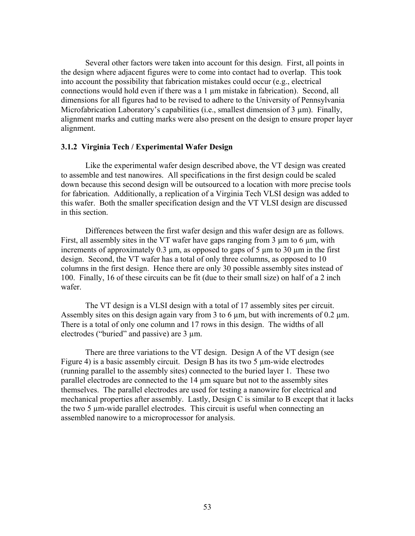Several other factors were taken into account for this design. First, all points in the design where adjacent figures were to come into contact had to overlap. This took into account the possibility that fabrication mistakes could occur (e.g., electrical connections would hold even if there was a 1 µm mistake in fabrication). Second, all dimensions for all figures had to be revised to adhere to the University of Pennsylvania Microfabrication Laboratory's capabilities (i.e., smallest dimension of 3  $\mu$ m). Finally, alignment marks and cutting marks were also present on the design to ensure proper layer alignment.

# **3.1.2 Virginia Tech / Experimental Wafer Design**

Like the experimental wafer design described above, the VT design was created to assemble and test nanowires. All specifications in the first design could be scaled down because this second design will be outsourced to a location with more precise tools for fabrication. Additionally, a replication of a Virginia Tech VLSI design was added to this wafer. Both the smaller specification design and the VT VLSI design are discussed in this section.

Differences between the first wafer design and this wafer design are as follows. First, all assembly sites in the VT wafer have gaps ranging from  $3 \mu m$  to  $6 \mu m$ , with increments of approximately 0.3  $\mu$ m, as opposed to gaps of 5  $\mu$ m to 30  $\mu$ m in the first design. Second, the VT wafer has a total of only three columns, as opposed to 10 columns in the first design. Hence there are only 30 possible assembly sites instead of 100. Finally, 16 of these circuits can be fit (due to their small size) on half of a 2 inch wafer.

The VT design is a VLSI design with a total of 17 assembly sites per circuit. Assembly sites on this design again vary from 3 to 6  $\mu$ m, but with increments of 0.2  $\mu$ m. There is a total of only one column and 17 rows in this design. The widths of all electrodes ("buried" and passive) are 3 µm.

There are three variations to the VT design. Design A of the VT design (see Figure 4) is a basic assembly circuit. Design B has its two 5  $\mu$ m-wide electrodes (running parallel to the assembly sites) connected to the buried layer 1. These two parallel electrodes are connected to the 14 µm square but not to the assembly sites themselves. The parallel electrodes are used for testing a nanowire for electrical and mechanical properties after assembly. Lastly, Design C is similar to B except that it lacks the two 5 µm-wide parallel electrodes. This circuit is useful when connecting an assembled nanowire to a microprocessor for analysis.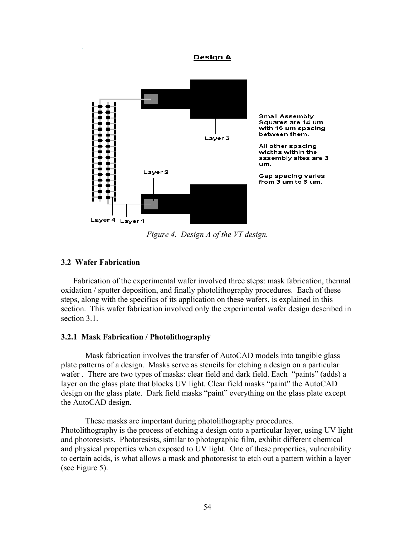#### **Design A**



*Figure 4. Design A of the VT design.* 

# **3.2 Wafer Fabrication**

Fabrication of the experimental wafer involved three steps: mask fabrication, thermal oxidation / sputter deposition, and finally photolithography procedures. Each of these steps, along with the specifics of its application on these wafers, is explained in this section. This wafer fabrication involved only the experimental wafer design described in section 3.1

# **3.2.1 Mask Fabrication / Photolithography**

Mask fabrication involves the transfer of AutoCAD models into tangible glass plate patterns of a design. Masks serve as stencils for etching a design on a particular wafer . There are two types of masks: clear field and dark field. Each "paints" (adds) a layer on the glass plate that blocks UV light. Clear field masks "paint" the AutoCAD design on the glass plate. Dark field masks "paint" everything on the glass plate except the AutoCAD design.

These masks are important during photolithography procedures. Photolithography is the process of etching a design onto a particular layer, using UV light and photoresists. Photoresists, similar to photographic film, exhibit different chemical and physical properties when exposed to UV light. One of these properties, vulnerability to certain acids, is what allows a mask and photoresist to etch out a pattern within a layer (see Figure 5).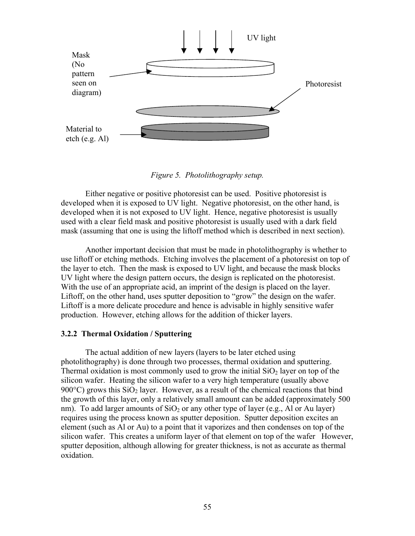

*Figure 5. Photolithography setup.* 

Either negative or positive photoresist can be used. Positive photoresist is developed when it is exposed to UV light. Negative photoresist, on the other hand, is developed when it is not exposed to UV light. Hence, negative photoresist is usually used with a clear field mask and positive photoresist is usually used with a dark field mask (assuming that one is using the liftoff method which is described in next section).

Another important decision that must be made in photolithography is whether to use liftoff or etching methods. Etching involves the placement of a photoresist on top of the layer to etch. Then the mask is exposed to UV light, and because the mask blocks UV light where the design pattern occurs, the design is replicated on the photoresist. With the use of an appropriate acid, an imprint of the design is placed on the layer. Liftoff, on the other hand, uses sputter deposition to "grow" the design on the wafer. Liftoff is a more delicate procedure and hence is advisable in highly sensitive wafer production. However, etching allows for the addition of thicker layers.

# **3.2.2 Thermal Oxidation / Sputtering**

The actual addition of new layers (layers to be later etched using photolithography) is done through two processes, thermal oxidation and sputtering. Thermal oxidation is most commonly used to grow the initial  $SiO<sub>2</sub>$  layer on top of the silicon wafer. Heating the silicon wafer to a very high temperature (usually above 900 $^{\circ}$ C) grows this SiO<sub>2</sub> layer. However, as a result of the chemical reactions that bind the growth of this layer, only a relatively small amount can be added (approximately 500 nm). To add larger amounts of  $SiO<sub>2</sub>$  or any other type of layer (e.g., Al or Au layer) requires using the process known as sputter deposition. Sputter deposition excites an element (such as Al or Au) to a point that it vaporizes and then condenses on top of the silicon wafer. This creates a uniform layer of that element on top of the wafer However, sputter deposition, although allowing for greater thickness, is not as accurate as thermal oxidation.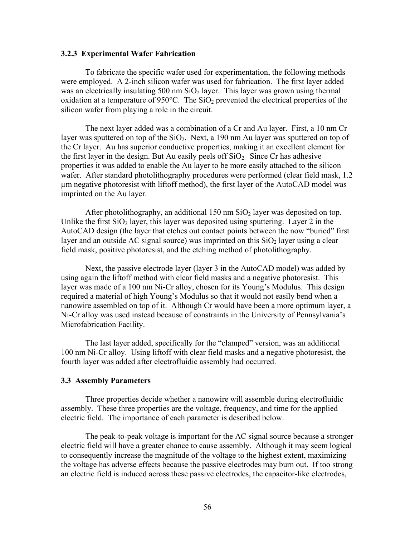## **3.2.3 Experimental Wafer Fabrication**

To fabricate the specific wafer used for experimentation, the following methods were employed. A 2-inch silicon wafer was used for fabrication. The first layer added was an electrically insulating 500 nm  $SiO<sub>2</sub>$  layer. This layer was grown using thermal oxidation at a temperature of 950 $^{\circ}$ C. The SiO<sub>2</sub> prevented the electrical properties of the silicon wafer from playing a role in the circuit.

The next layer added was a combination of a Cr and Au layer. First, a 10 nm Cr layer was sputtered on top of the  $SiO<sub>2</sub>$ . Next, a 190 nm Au layer was sputtered on top of the Cr layer. Au has superior conductive properties, making it an excellent element for the first layer in the design. But Au easily peels off  $SiO<sub>2</sub>$ . Since Cr has adhesive properties it was added to enable the Au layer to be more easily attached to the silicon wafer. After standard photolithography procedures were performed (clear field mask, 1.2) µm negative photoresist with liftoff method), the first layer of the AutoCAD model was imprinted on the Au layer.

After photolithography, an additional 150 nm  $SiO<sub>2</sub>$  layer was deposited on top. Unlike the first  $SiO<sub>2</sub>$  layer, this layer was deposited using sputtering. Layer 2 in the AutoCAD design (the layer that etches out contact points between the now "buried" first layer and an outside AC signal source) was imprinted on this  $SiO<sub>2</sub>$  layer using a clear field mask, positive photoresist, and the etching method of photolithography.

Next, the passive electrode layer (layer 3 in the AutoCAD model) was added by using again the liftoff method with clear field masks and a negative photoresist. This layer was made of a 100 nm Ni-Cr alloy, chosen for its Young's Modulus. This design required a material of high Young's Modulus so that it would not easily bend when a nanowire assembled on top of it. Although Cr would have been a more optimum layer, a Ni-Cr alloy was used instead because of constraints in the University of Pennsylvania's Microfabrication Facility.

The last layer added, specifically for the "clamped" version, was an additional 100 nm Ni-Cr alloy. Using liftoff with clear field masks and a negative photoresist, the fourth layer was added after electrofluidic assembly had occurred.

#### **3.3 Assembly Parameters**

Three properties decide whether a nanowire will assemble during electrofluidic assembly. These three properties are the voltage, frequency, and time for the applied electric field. The importance of each parameter is described below.

The peak-to-peak voltage is important for the AC signal source because a stronger electric field will have a greater chance to cause assembly. Although it may seem logical to consequently increase the magnitude of the voltage to the highest extent, maximizing the voltage has adverse effects because the passive electrodes may burn out. If too strong an electric field is induced across these passive electrodes, the capacitor-like electrodes,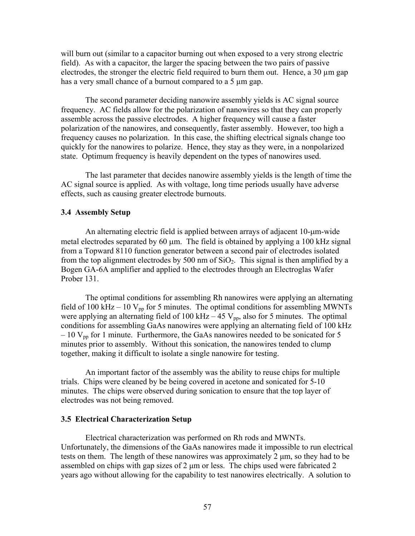will burn out (similar to a capacitor burning out when exposed to a very strong electric field). As with a capacitor, the larger the spacing between the two pairs of passive electrodes, the stronger the electric field required to burn them out. Hence, a 30 µm gap has a very small chance of a burnout compared to a 5  $\mu$ m gap.

The second parameter deciding nanowire assembly yields is AC signal source frequency. AC fields allow for the polarization of nanowires so that they can properly assemble across the passive electrodes. A higher frequency will cause a faster polarization of the nanowires, and consequently, faster assembly. However, too high a frequency causes no polarization. In this case, the shifting electrical signals change too quickly for the nanowires to polarize. Hence, they stay as they were, in a nonpolarized state. Optimum frequency is heavily dependent on the types of nanowires used.

The last parameter that decides nanowire assembly yields is the length of time the AC signal source is applied. As with voltage, long time periods usually have adverse effects, such as causing greater electrode burnouts.

# **3.4 Assembly Setup**

An alternating electric field is applied between arrays of adjacent 10-µm-wide metal electrodes separated by 60  $\mu$ m. The field is obtained by applying a 100 kHz signal from a Topward 8110 function generator between a second pair of electrodes isolated from the top alignment electrodes by 500 nm of  $SiO<sub>2</sub>$ . This signal is then amplified by a Bogen GA-6A amplifier and applied to the electrodes through an Electroglas Wafer Prober 131.

The optimal conditions for assembling Rh nanowires were applying an alternating field of 100 kHz – 10  $V_{\text{pp}}$  for 5 minutes. The optimal conditions for assembling MWNTs were applying an alternating field of 100 kHz  $-$  45 V<sub>pp</sub>, also for 5 minutes. The optimal conditions for assembling GaAs nanowires were applying an alternating field of 100 kHz  $-10$  V<sub>pp</sub> for 1 minute. Furthermore, the GaAs nanowires needed to be sonicated for 5 minutes prior to assembly. Without this sonication, the nanowires tended to clump together, making it difficult to isolate a single nanowire for testing.

An important factor of the assembly was the ability to reuse chips for multiple trials. Chips were cleaned by be being covered in acetone and sonicated for 5-10 minutes. The chips were observed during sonication to ensure that the top layer of electrodes was not being removed.

### **3.5 Electrical Characterization Setup**

Electrical characterization was performed on Rh rods and MWNTs. Unfortunately, the dimensions of the GaAs nanowires made it impossible to run electrical tests on them. The length of these nanowires was approximately 2 µm, so they had to be assembled on chips with gap sizes of 2  $\mu$ m or less. The chips used were fabricated 2 years ago without allowing for the capability to test nanowires electrically. A solution to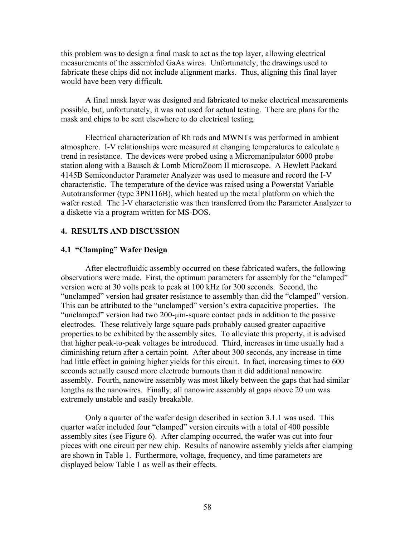this problem was to design a final mask to act as the top layer, allowing electrical measurements of the assembled GaAs wires. Unfortunately, the drawings used to fabricate these chips did not include alignment marks. Thus, aligning this final layer would have been very difficult.

A final mask layer was designed and fabricated to make electrical measurements possible, but, unfortunately, it was not used for actual testing. There are plans for the mask and chips to be sent elsewhere to do electrical testing.

Electrical characterization of Rh rods and MWNTs was performed in ambient atmosphere. I-V relationships were measured at changing temperatures to calculate a trend in resistance. The devices were probed using a Micromanipulator 6000 probe station along with a Bausch & Lomb MicroZoom II microscope. A Hewlett Packard 4145B Semiconductor Parameter Analyzer was used to measure and record the I-V characteristic. The temperature of the device was raised using a Powerstat Variable Autotransformer (type 3PN116B), which heated up the metal platform on which the wafer rested. The I-V characteristic was then transferred from the Parameter Analyzer to a diskette via a program written for MS-DOS.

# **4. RESULTS AND DISCUSSION**

# **4.1 "Clamping" Wafer Design**

After electrofluidic assembly occurred on these fabricated wafers, the following observations were made. First, the optimum parameters for assembly for the "clamped" version were at 30 volts peak to peak at 100 kHz for 300 seconds. Second, the "unclamped" version had greater resistance to assembly than did the "clamped" version. This can be attributed to the "unclamped" version's extra capacitive properties. The "unclamped" version had two 200-µm-square contact pads in addition to the passive electrodes. These relatively large square pads probably caused greater capacitive properties to be exhibited by the assembly sites. To alleviate this property, it is advised that higher peak-to-peak voltages be introduced. Third, increases in time usually had a diminishing return after a certain point. After about 300 seconds, any increase in time had little effect in gaining higher yields for this circuit. In fact, increasing times to 600 seconds actually caused more electrode burnouts than it did additional nanowire assembly. Fourth, nanowire assembly was most likely between the gaps that had similar lengths as the nanowires. Finally, all nanowire assembly at gaps above 20 um was extremely unstable and easily breakable.

Only a quarter of the wafer design described in section 3.1.1 was used. This quarter wafer included four "clamped" version circuits with a total of 400 possible assembly sites (see Figure 6). After clamping occurred, the wafer was cut into four pieces with one circuit per new chip. Results of nanowire assembly yields after clamping are shown in Table 1. Furthermore, voltage, frequency, and time parameters are displayed below Table 1 as well as their effects.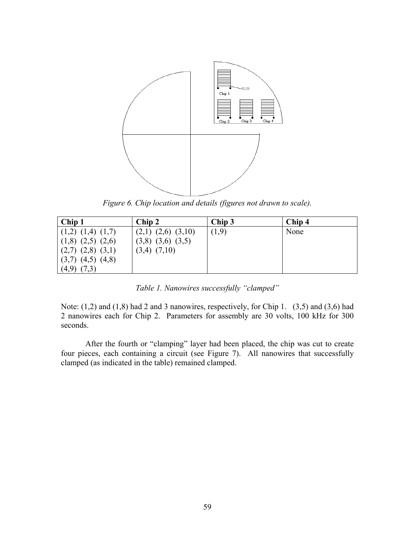

*Figure 6. Chip location and details (figures not drawn to scale).* 

| Chip 1                  | Chip 2                   | Chip 3 | Chip 4 |
|-------------------------|--------------------------|--------|--------|
| $(1,2)$ $(1,4)$ $(1,7)$ | $(2,1)$ $(2,6)$ $(3,10)$ | (1,9)  | None   |
| $(1,8)$ $(2,5)$ $(2,6)$ | $(3,8)$ $(3,6)$ $(3,5)$  |        |        |
| $(2,7)$ $(2,8)$ $(3,1)$ | $(3,4)$ $(7,10)$         |        |        |
| $(3,7)$ $(4,5)$ $(4,8)$ |                          |        |        |
| (4,9)<br>(7,3)          |                          |        |        |

*Table 1. Nanowires successfully "clamped"* 

Note:  $(1,2)$  and  $(1,8)$  had 2 and 3 nanowires, respectively, for Chip 1.  $(3,5)$  and  $(3,6)$  had 2 nanowires each for Chip 2. Parameters for assembly are 30 volts, 100 kHz for 300 seconds.

After the fourth or "clamping" layer had been placed, the chip was cut to create four pieces, each containing a circuit (see Figure 7). All nanowires that successfully clamped (as indicated in the table) remained clamped.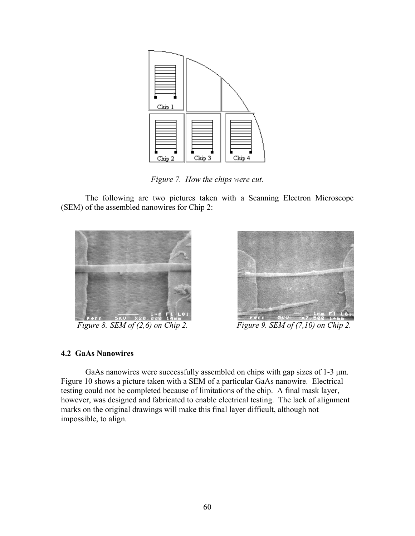

*Figure 7. How the chips were cut.* 

The following are two pictures taken with a Scanning Electron Microscope (SEM) of the assembled nanowires for Chip 2:





*Figure 8. SEM of (2,6) on Chip 2. Figure 9. SEM of (7,10) on Chip 2.* 

# **4.2 GaAs Nanowires**

GaAs nanowires were successfully assembled on chips with gap sizes of 1-3  $\mu$ m. Figure 10 shows a picture taken with a SEM of a particular GaAs nanowire. Electrical testing could not be completed because of limitations of the chip. A final mask layer, however, was designed and fabricated to enable electrical testing. The lack of alignment marks on the original drawings will make this final layer difficult, although not impossible, to align.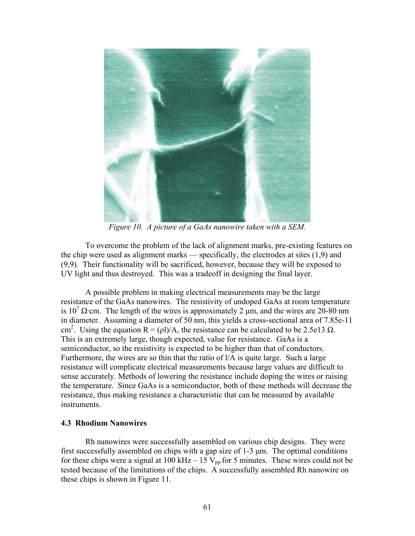

*Figure 10. A picture of a GaAs nanowire taken with a SEM.* 

To overcome the problem of the lack of alignment marks, pre-existing features on the chip were used as alignment marks — specifically, the electrodes at sites (1,9) and (9,9). Their functionality will be sacrificed, however, because they will be exposed to UV light and thus destroyed. This was a tradeoff in designing the final layer.

A possible problem in making electrical measurements may be the large resistance of the GaAs nanowires. The resistivity of undoped GaAs at room temperature is  $10^7 \Omega$ ·cm. The length of the wires is approximately 2 µm, and the wires are 20-80 nm in diameter. Assuming a diameter of 50 nm, this yields a cross-sectional area of 7.85e-11 cm<sup>2</sup>. Using the equation R = ( $\rho$ I)/A, the resistance can be calculated to be 2.5e13  $\Omega$ . This is an extremely large, though expected, value for resistance. GaAs is a semiconductor, so the resistivity is expected to be higher than that of conductors. Furthermore, the wires are so thin that the ratio of l/A is quite large. Such a large resistance will complicate electrical measurements because large values are difficult to sense accurately. Methods of lowering the resistance include doping the wires or raising the temperature. Since GaAs is a semiconductor, both of these methods will decrease the resistance, thus making resistance a characteristic that can be measured by available instruments.

# **4.3 Rhodium Nanowires**

Rh nanowires were successfully assembled on various chip designs. They were first successfully assembled on chips with a gap size of 1-3 µm. The optimal conditions for these chips were a signal at 100 kHz – 15  $V_{pp}$  for 5 minutes. These wires could not be tested because of the limitations of the chips. A successfully assembled Rh nanowire on these chips is shown in Figure 11.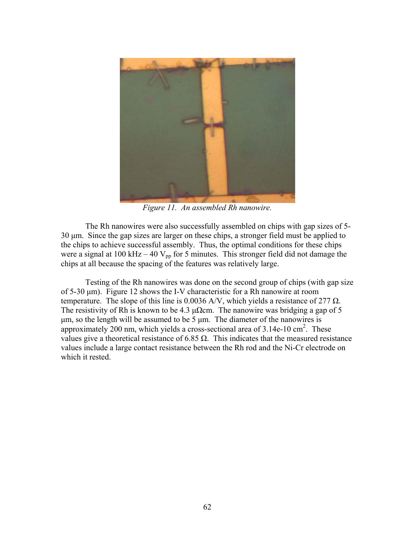

*Figure 11. An assembled Rh nanowire.* 

The Rh nanowires were also successfully assembled on chips with gap sizes of 5- 30 µm. Since the gap sizes are larger on these chips, a stronger field must be applied to the chips to achieve successful assembly. Thus, the optimal conditions for these chips were a signal at 100 kHz – 40  $V_{pp}$  for 5 minutes. This stronger field did not damage the chips at all because the spacing of the features was relatively large.

Testing of the Rh nanowires was done on the second group of chips (with gap size of 5-30 µm). Figure 12 shows the I-V characteristic for a Rh nanowire at room temperature. The slope of this line is 0.0036 A/V, which yields a resistance of 277  $\Omega$ . The resistivity of Rh is known to be 4.3  $\mu\Omega$ cm. The nanowire was bridging a gap of 5 µm, so the length will be assumed to be 5 µm. The diameter of the nanowires is approximately 200 nm, which yields a cross-sectional area of 3.14e-10 cm<sup>2</sup>. These values give a theoretical resistance of 6.85  $\Omega$ . This indicates that the measured resistance values include a large contact resistance between the Rh rod and the Ni-Cr electrode on which it rested.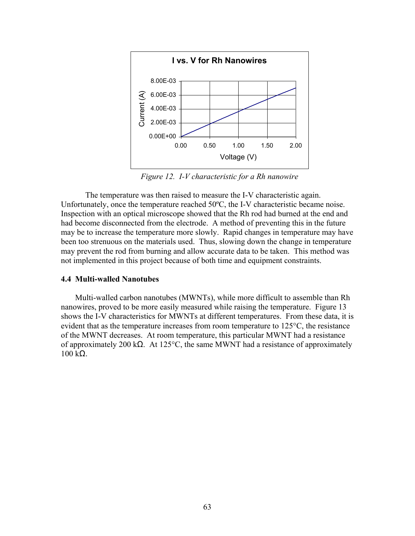

*Figure 12. I-V characteristic for a Rh nanowire* 

The temperature was then raised to measure the I-V characteristic again. Unfortunately, once the temperature reached 50ºC, the I-V characteristic became noise. Inspection with an optical microscope showed that the Rh rod had burned at the end and had become disconnected from the electrode. A method of preventing this in the future may be to increase the temperature more slowly. Rapid changes in temperature may have been too strenuous on the materials used. Thus, slowing down the change in temperature may prevent the rod from burning and allow accurate data to be taken. This method was not implemented in this project because of both time and equipment constraints.

# **4.4 Multi-walled Nanotubes**

Multi-walled carbon nanotubes (MWNTs), while more difficult to assemble than Rh nanowires, proved to be more easily measured while raising the temperature. Figure 13 shows the I-V characteristics for MWNTs at different temperatures. From these data, it is evident that as the temperature increases from room temperature to  $125^{\circ}$ C, the resistance of the MWNT decreases. At room temperature, this particular MWNT had a resistance of approximately 200 k $\Omega$ . At 125°C, the same MWNT had a resistance of approximately 100 kΩ.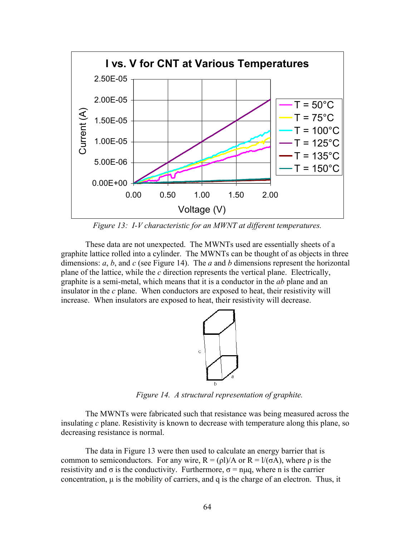

*Figure 13: I-V characteristic for an MWNT at different temperatures.*

These data are not unexpected. The MWNTs used are essentially sheets of a graphite lattice rolled into a cylinder. The MWNTs can be thought of as objects in three dimensions: *a*, *b*, and *c* (see Figure 14). The *a* and *b* dimensions represent the horizontal plane of the lattice, while the *c* direction represents the vertical plane. Electrically, graphite is a semi-metal, which means that it is a conductor in the *ab* plane and an insulator in the *c* plane. When conductors are exposed to heat, their resistivity will increase. When insulators are exposed to heat, their resistivity will decrease.



*Figure 14. A structural representation of graphite.* 

The MWNTs were fabricated such that resistance was being measured across the insulating *c* plane. Resistivity is known to decrease with temperature along this plane, so decreasing resistance is normal.

The data in Figure 13 were then used to calculate an energy barrier that is common to semiconductors. For any wire,  $R = (p1)/A$  or  $R = 1/(\sigma A)$ , where  $\rho$  is the resistivity and  $\sigma$  is the conductivity. Furthermore,  $\sigma$  = nuq, where n is the carrier concentration,  $\mu$  is the mobility of carriers, and q is the charge of an electron. Thus, it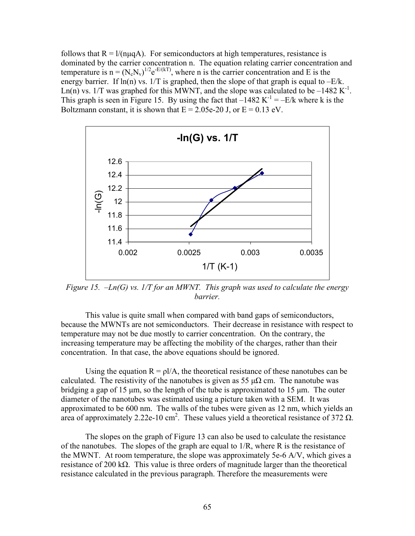follows that  $R = 1/(n\mu qA)$ . For semiconductors at high temperatures, resistance is dominated by the carrier concentration n. The equation relating carrier concentration and temperature is  $n = (N_c N_v)^{1/2} e^{-E/(kT)}$ , where n is the carrier concentration and E is the energy barrier. If  $ln(n)$  vs.  $1/T$  is graphed, then the slope of that graph is equal to  $-E/k$ . Ln(n) vs.  $1/T$  was graphed for this MWNT, and the slope was calculated to be –1482 K<sup>-1</sup>. This graph is seen in Figure 15. By using the fact that  $-1482 \text{ K}^{-1} = -E/k$  where k is the Boltzmann constant, it is shown that  $E = 2.05e-20$  J, or  $E = 0.13$  eV.



*Figure 15. –Ln(G) vs. 1/T for an MWNT. This graph was used to calculate the energy barrier.* 

This value is quite small when compared with band gaps of semiconductors, because the MWNTs are not semiconductors. Their decrease in resistance with respect to temperature may not be due mostly to carrier concentration. On the contrary, the increasing temperature may be affecting the mobility of the charges, rather than their concentration. In that case, the above equations should be ignored.

Using the equation  $R = \rho I/A$ , the theoretical resistance of these nanotubes can be calculated. The resistivity of the nanotubes is given as 55  $\mu\Omega$  cm. The nanotube was bridging a gap of 15 µm, so the length of the tube is approximated to 15 µm. The outer diameter of the nanotubes was estimated using a picture taken with a SEM. It was approximated to be 600 nm. The walls of the tubes were given as 12 nm, which yields an area of approximately 2.22e-10 cm<sup>2</sup>. These values yield a theoretical resistance of 372  $\Omega$ .

The slopes on the graph of Figure 13 can also be used to calculate the resistance of the nanotubes. The slopes of the graph are equal to 1/R, where R is the resistance of the MWNT. At room temperature, the slope was approximately 5e-6 A/V, which gives a resistance of 200 kΩ. This value is three orders of magnitude larger than the theoretical resistance calculated in the previous paragraph. Therefore the measurements were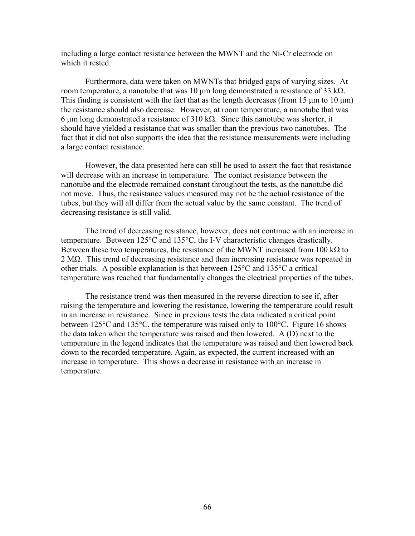including a large contact resistance between the MWNT and the Ni-Cr electrode on which it rested.

Furthermore, data were taken on MWNTs that bridged gaps of varying sizes. At room temperature, a nanotube that was 10 µm long demonstrated a resistance of 33 k $\Omega$ . This finding is consistent with the fact that as the length decreases (from  $15 \mu m$  to  $10 \mu m$ ) the resistance should also decrease. However, at room temperature, a nanotube that was 6 µm long demonstrated a resistance of 310 kΩ. Since this nanotube was shorter, it should have yielded a resistance that was smaller than the previous two nanotubes. The fact that it did not also supports the idea that the resistance measurements were including a large contact resistance.

However, the data presented here can still be used to assert the fact that resistance will decrease with an increase in temperature. The contact resistance between the nanotube and the electrode remained constant throughout the tests, as the nanotube did not move. Thus, the resistance values measured may not be the actual resistance of the tubes, but they will all differ from the actual value by the same constant. The trend of decreasing resistance is still valid.

The trend of decreasing resistance, however, does not continue with an increase in temperature. Between 125°C and 135°C, the I-V characteristic changes drastically. Between these two temperatures, the resistance of the MWNT increased from 100 kΩ to 2 MΩ. This trend of decreasing resistance and then increasing resistance was repeated in other trials. A possible explanation is that between  $125^{\circ}$ C and  $135^{\circ}$ C a critical temperature was reached that fundamentally changes the electrical properties of the tubes.

The resistance trend was then measured in the reverse direction to see if, after raising the temperature and lowering the resistance, lowering the temperature could result in an increase in resistance. Since in previous tests the data indicated a critical point between 125°C and 135°C, the temperature was raised only to 100°C. Figure 16 shows the data taken when the temperature was raised and then lowered. A (D) next to the temperature in the legend indicates that the temperature was raised and then lowered back down to the recorded temperature. Again, as expected, the current increased with an increase in temperature. This shows a decrease in resistance with an increase in temperature.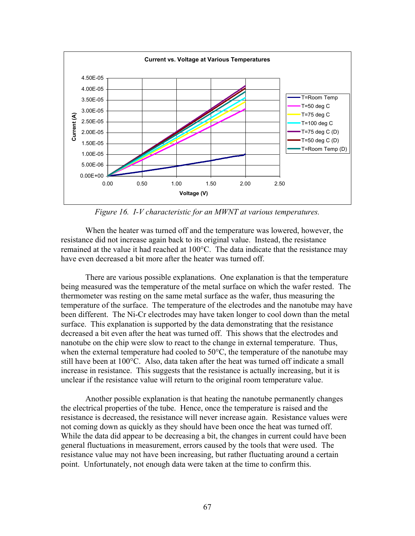

*Figure 16. I-V characteristic for an MWNT at various temperatures.* 

When the heater was turned off and the temperature was lowered, however, the resistance did not increase again back to its original value. Instead, the resistance remained at the value it had reached at 100°C. The data indicate that the resistance may have even decreased a bit more after the heater was turned off.

There are various possible explanations. One explanation is that the temperature being measured was the temperature of the metal surface on which the wafer rested. The thermometer was resting on the same metal surface as the wafer, thus measuring the temperature of the surface. The temperature of the electrodes and the nanotube may have been different. The Ni-Cr electrodes may have taken longer to cool down than the metal surface. This explanation is supported by the data demonstrating that the resistance decreased a bit even after the heat was turned off. This shows that the electrodes and nanotube on the chip were slow to react to the change in external temperature. Thus, when the external temperature had cooled to 50°C, the temperature of the nanotube may still have been at 100°C. Also, data taken after the heat was turned off indicate a small increase in resistance. This suggests that the resistance is actually increasing, but it is unclear if the resistance value will return to the original room temperature value.

Another possible explanation is that heating the nanotube permanently changes the electrical properties of the tube. Hence, once the temperature is raised and the resistance is decreased, the resistance will never increase again. Resistance values were not coming down as quickly as they should have been once the heat was turned off. While the data did appear to be decreasing a bit, the changes in current could have been general fluctuations in measurement, errors caused by the tools that were used. The resistance value may not have been increasing, but rather fluctuating around a certain point. Unfortunately, not enough data were taken at the time to confirm this.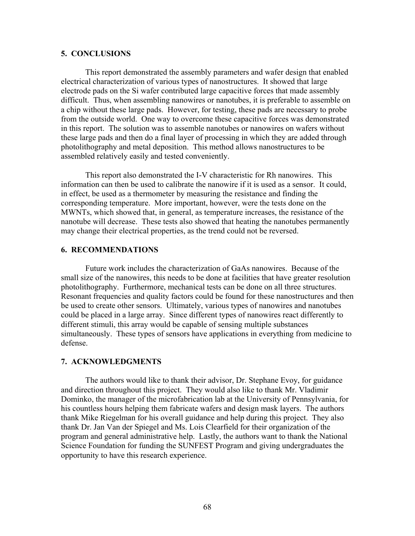# **5. CONCLUSIONS**

This report demonstrated the assembly parameters and wafer design that enabled electrical characterization of various types of nanostructures. It showed that large electrode pads on the Si wafer contributed large capacitive forces that made assembly difficult. Thus, when assembling nanowires or nanotubes, it is preferable to assemble on a chip without these large pads. However, for testing, these pads are necessary to probe from the outside world. One way to overcome these capacitive forces was demonstrated in this report. The solution was to assemble nanotubes or nanowires on wafers without these large pads and then do a final layer of processing in which they are added through photolithography and metal deposition. This method allows nanostructures to be assembled relatively easily and tested conveniently.

This report also demonstrated the I-V characteristic for Rh nanowires. This information can then be used to calibrate the nanowire if it is used as a sensor. It could, in effect, be used as a thermometer by measuring the resistance and finding the corresponding temperature. More important, however, were the tests done on the MWNTs, which showed that, in general, as temperature increases, the resistance of the nanotube will decrease. These tests also showed that heating the nanotubes permanently may change their electrical properties, as the trend could not be reversed.

# **6. RECOMMENDATIONS**

Future work includes the characterization of GaAs nanowires. Because of the small size of the nanowires, this needs to be done at facilities that have greater resolution photolithography. Furthermore, mechanical tests can be done on all three structures. Resonant frequencies and quality factors could be found for these nanostructures and then be used to create other sensors. Ultimately, various types of nanowires and nanotubes could be placed in a large array. Since different types of nanowires react differently to different stimuli, this array would be capable of sensing multiple substances simultaneously. These types of sensors have applications in everything from medicine to defense.

### **7. ACKNOWLEDGMENTS**

The authors would like to thank their advisor, Dr. Stephane Evoy, for guidance and direction throughout this project. They would also like to thank Mr. Vladimir Dominko, the manager of the microfabrication lab at the University of Pennsylvania, for his countless hours helping them fabricate wafers and design mask layers. The authors thank Mike Riegelman for his overall guidance and help during this project. They also thank Dr. Jan Van der Spiegel and Ms. Lois Clearfield for their organization of the program and general administrative help. Lastly, the authors want to thank the National Science Foundation for funding the SUNFEST Program and giving undergraduates the opportunity to have this research experience.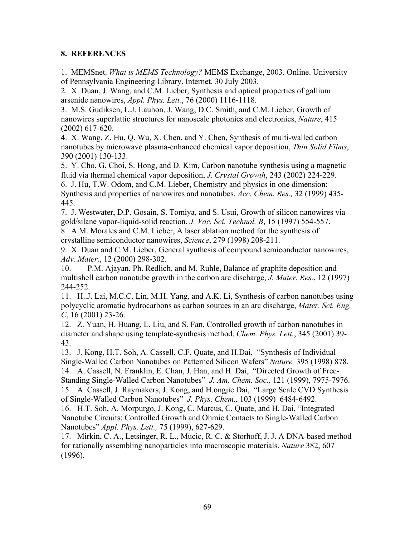# **8. REFERENCES**

1. MEMSnet. *What is MEMS Technology?* MEMS Exchange, 2003. Online. University of Pennsylvania Engineering Library. Internet. 30 July 2003.

2. X. Duan, J. Wang, and C.M. Lieber, Synthesis and optical properties of gallium arsenide nanowires, *Appl. Phys. Lett.*, 76 (2000) 1116-1118.

3. M.S. Gudiksen, L.J. Lauhon, J. Wang, D.C. Smith, and C.M. Lieber, Growth of nanowires superlattic structures for nanoscale photonics and electronics, *Nature*, 415 (2002) 617-620.

4. X. Wang, Z. Hu, Q. Wu, X. Chen, and Y. Chen, Synthesis of multi-walled carbon nanotubes by microwave plasma-enhanced chemical vapor deposition, *Thin Solid Films*, 390 (2001) 130-133.

5. Y. Cho, G. Choi, S. Hong, and D. Kim, Carbon nanotube synthesis using a magnetic fluid via thermal chemical vapor deposition, *J. Crystal Growth*, 243 (2002) 224-229.

6. J. Hu, T.W. Odom, and C.M. Lieber, Chemistry and physics in one dimension: Synthesis and properties of nanowires and nanotubes, *Acc. Chem. Res.,* 32 (1999) 435- 445.

7. J. Westwater, D.P. Gosain, S. Tomiya, and S. Usui, Growth of silicon nanowires via gold/silane vapor-liquid-solid reaction, *J. Vac. Sci. Technol. B*, 15 (1997) 554-557. 8. A.M. Morales and C.M. Lieber, A laser ablation method for the synthesis of

crystalline semiconductor nanowires, *Science*, 279 (1998) 208-211.

9. X. Duan and C.M. Lieber, General synthesis of compound semiconductor nanowires, *Adv. Mater.*, 12 (2000) 298-302.

10. P.M. Ajayan, Ph. Redlich, and M. Ruhle, Balance of graphite deposition and multishell carbon nanotube growth in the carbon arc discharge, *J. Mater. Res.*, 12 (1997) 244-252.

11. H..J. Lai, M.C.C. Lin, M.H. Yang, and A.K. Li, Synthesis of carbon nanotubes using polycyclic aromatic hydrocarbons as carbon sources in an arc discharge, *Mater. Sci. Eng. C*, 16 (2001) 23-26.

12. Z. Yuan, H. Huang, L. Liu, and S. Fan, Controlled growth of carbon nanotubes in diameter and shape using template-synthesis method, *Chem. Phys. Lett.*, 345 (2001) 39- 43.

13. J. Kong, H.T. Soh, A. Cassell, C.F. Quate, and H.Dai, "Synthesis of Individual Single-Walled Carbon Nanotubes on Patterned Silicon Wafers" *Nature,* 395 (1998) 878. 14. A. Cassell, N. Franklin, E. Chan, J. Han, and H. Dai, "Directed Growth of Free-Standing Single-Walled Carbon Nanotubes" *J. Am. Chem. Soc.,* 121 (1999), 7975-7976. 15. A. Cassell, J. Raymakers, J. Kong, and H.ongjie Dai, "Large Scale CVD Synthesis of Single-Walled Carbon Nanotubes" *J. Phys. Chem.,* 103 (1999) 6484-6492.

16. H.T. Soh, A. Morpurgo, J. Kong, C. Marcus, C. Quate, and H. Dai, "Integrated Nanotube Circuits: Controlled Growth and Ohmic Contacts to Single-Walled Carbon Nanotubes" *Appl. Phys. Lett.,* 75 (1999), 627-629.

17. Mirkin, C. A., Letsinger, R. L., Mucic, R. C. & Storhoff, J. J. A DNA-based method for rationally assembling nanoparticles into macroscopic materials. *Nature* 382, 607 (1996).